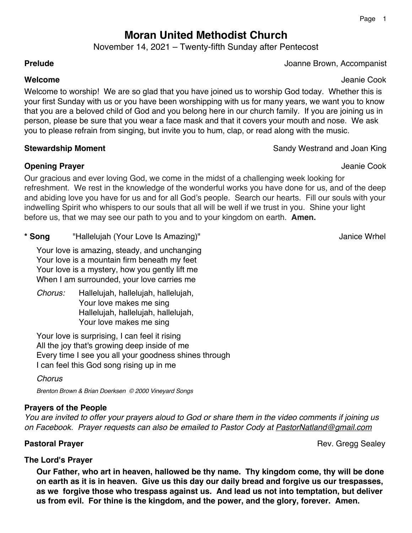# **Moran United Methodist Church**

November 14, 2021 – Twenty-fifth Sunday after Pentecost

**Prelude Prelude Joanne Brown, Accompanist** 

**Welcome** Jeanie Cook

Welcome to worship! We are so glad that you have joined us to worship God today. Whether this is your first Sunday with us or you have been worshipping with us for many years, we want you to know that you are a beloved child of God and you belong here in our church family. If you are joining us in person, please be sure that you wear a face mask and that it covers your mouth and nose. We ask you to please refrain from singing, but invite you to hum, clap, or read along with the music.

#### **Stewardship Moment** Stewardship Moment Stewardship Moment Stewardship Moment Stewardship Moment Stewardship Moment

# **Opening Prayer Cook and Cook and Cook and Cook and Cook and Cook and Cook and Cook and Cook and Cook and Cook and Cook and Cook and Cook and Cook and Cook and Cook and Cook and Cook and Cook and Cook and Cook and Cook a**

Our gracious and ever loving God, we come in the midst of a challenging week looking for refreshment. We rest in the knowledge of the wonderful works you have done for us, and of the deep and abiding love you have for us and for all God's people. Search our hearts. Fill our souls with your indwelling Spirit who whispers to our souls that all will be well if we trust in you. Shine your light before us, that we may see our path to you and to your kingdom on earth. **Amen.**

**\* Song** "Hallelujah (Your Love Is Amazing)" Janice Wrhel

Your love is amazing, steady, and unchanging Your love is a mountain firm beneath my feet Your love is a mystery, how you gently lift me When I am surrounded, your love carries me

*Chorus:* Hallelujah, hallelujah, hallelujah, Your love makes me sing Hallelujah, hallelujah, hallelujah, Your love makes me sing

Your love is surprising, I can feel it rising All the joy that's growing deep inside of me Every time I see you all your goodness shines through I can feel this God song rising up in me

*Chorus*

*Brenton Brown & Brian Doerksen © 2000 Vineyard Songs*

# **Prayers of the People**

*You are invited to offer your prayers aloud to God or share them in the video comments if joining us on Facebook. Prayer requests can also be emailed to Pastor Cody at PastorNatland@gmail.com*

**Pastoral Prayer** Rev. Gregg Sealey

# **The Lord's Prayer**

**Our Father, who art in heaven, hallowed be thy name. Thy kingdom come, thy will be done on earth as it is in heaven. Give us this day our daily bread and forgive us our trespasses, as we forgive those who trespass against us. And lead us not into temptation, but deliver us from evil. For thine is the kingdom, and the power, and the glory, forever. Amen.**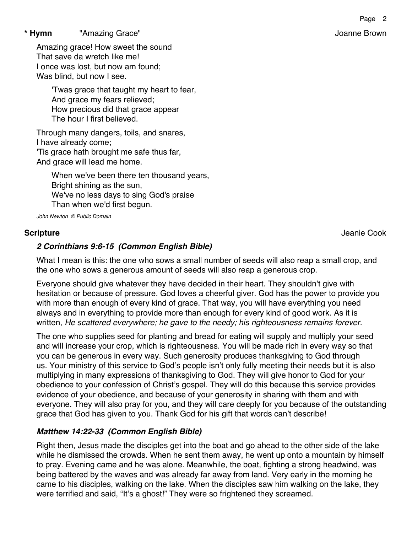#### **\* Hymn** "Amazing Grace" **Amazing Grace "** Amazing Grace" **Joanne Brown**

Amazing grace! How sweet the sound That save da wretch like me! I once was lost, but now am found; Was blind, but now I see.

> 'Twas grace that taught my heart to fear, And grace my fears relieved; How precious did that grace appear The hour I first believed.

Through many dangers, toils, and snares, I have already come; 'Tis grace hath brought me safe thus far, And grace will lead me home.

> When we've been there ten thousand years, Bright shining as the sun, We've no less days to sing God's praise Than when we'd first begun.

*John Newton © Public Domain*

#### *2 Corinthians 9:6-15 (Common English Bible)*

What I mean is this: the one who sows a small number of seeds will also reap a small crop, and the one who sows a generous amount of seeds will also reap a generous crop.

Everyone should give whatever they have decided in their heart. They shouldn't give with hesitation or because of pressure. God loves a cheerful giver. God has the power to provide you with more than enough of every kind of grace. That way, you will have everything you need always and in everything to provide more than enough for every kind of good work. As it is written, *He scattered everywhere; he gave to the needy; his righteousness remains forever.*

The one who supplies seed for planting and bread for eating will supply and multiply your seed and will increase your crop, which is righteousness. You will be made rich in every way so that you can be generous in every way. Such generosity produces thanksgiving to God through us. Your ministry of this service to God's people isn't only fully meeting their needs but it is also multiplying in many expressions of thanksgiving to God. They will give honor to God for your obedience to your confession of Christ's gospel. They will do this because this service provides evidence of your obedience, and because of your generosity in sharing with them and with everyone. They will also pray for you, and they will care deeply for you because of the outstanding grace that God has given to you. Thank God for his gift that words can't describe!

# *Matthew 14:22-33 (Common English Bible)*

Right then, Jesus made the disciples get into the boat and go ahead to the other side of the lake while he dismissed the crowds. When he sent them away, he went up onto a mountain by himself to pray. Evening came and he was alone. Meanwhile, the boat, fighting a strong headwind, was being battered by the waves and was already far away from land. Very early in the morning he came to his disciples, walking on the lake. When the disciples saw him walking on the lake, they were terrified and said, "It's a ghost!" They were so frightened they screamed.

**Scripture** Jeanie Cook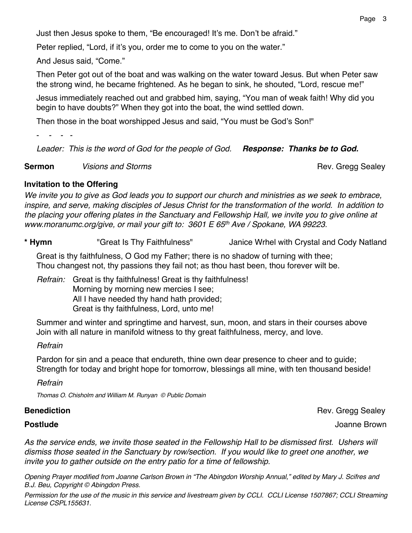Just then Jesus spoke to them, "Be encouraged! It's me. Don't be afraid."

Peter replied, "Lord, if it's you, order me to come to you on the water."

And Jesus said, "Come."

Then Peter got out of the boat and was walking on the water toward Jesus. But when Peter saw the strong wind, he became frightened. As he began to sink, he shouted, "Lord, rescue me!"

Jesus immediately reached out and grabbed him, saying, "You man of weak faith! Why did you begin to have doubts?" When they got into the boat, the wind settled down.

Then those in the boat worshipped Jesus and said, "You must be God's Son!"

- *- - -*

*Leader: This is the word of God for the people of God. Response: Thanks be to God.*

**Sermon** *Visions and Storms Compact Compact Compact Compact Compact Compact Compact Compact Compact Compact Compact Compact Compact Compact Compact Compact Compact Compact Compact Compact Compact Compact Compact Compact* 

#### **Invitation to the Offering**

*We invite you to give as God leads you to support our church and ministries as we seek to embrace, inspire, and serve, making disciples of Jesus Christ for the transformation of the world. In addition to the placing your offering plates in the Sanctuary and Fellowship Hall, we invite you to give online at www.moranumc.org/give, or mail your gift to: 3601 E 65th Ave / Spokane, WA 99223.*

**\* Hymn** "Great Is Thy Faithfulness" Janice Wrhel with Crystal and Cody Natland

Great is thy faithfulness, O God my Father; there is no shadow of turning with thee; Thou changest not, thy passions they fail not; as thou hast been, thou forever wilt be.

*Refrain:* Great is thy faithfulness! Great is thy faithfulness! Morning by morning new mercies I see; All I have needed thy hand hath provided; Great is thy faithfulness, Lord, unto me!

Summer and winter and springtime and harvest, sun, moon, and stars in their courses above Join with all nature in manifold witness to thy great faithfulness, mercy, and love.

#### *Refrain*

Pardon for sin and a peace that endureth, thine own dear presence to cheer and to guide; Strength for today and bright hope for tomorrow, blessings all mine, with ten thousand beside!

*Refrain*

*Thomas O. Chisholm and William M. Runyan © Public Domain*

#### **Benediction** Rev. Gregg Sealey

#### **Postlude** Joanne Brown

*As the service ends, we invite those seated in the Fellowship Hall to be dismissed first. Ushers will dismiss those seated in the Sanctuary by row/section. If you would like to greet one another, we invite you to gather outside on the entry patio for a time of fellowship.*

*Opening Prayer modified from Joanne Carlson Brown in "The Abingdon Worship Annual," edited by Mary J. Scifres and B.J. Beu, Copyright © Abingdon Press.*

*Permission for the use of the music in this service and livestream given by CCLI. CCLI License 1507867; CCLI Streaming License CSPL155631.*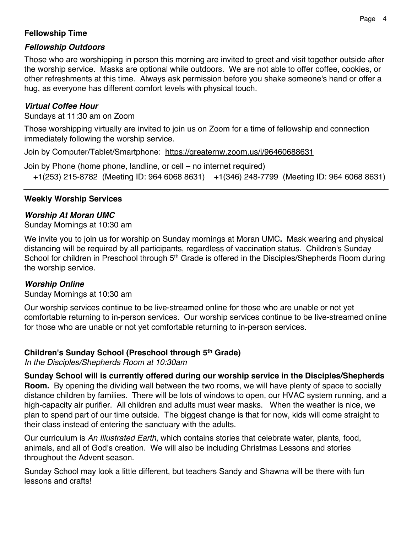### **Fellowship Time**

# *Fellowship Outdoors*

Those who are worshipping in person this morning are invited to greet and visit together outside after the worship service. Masks are optional while outdoors. We are not able to offer coffee, cookies, or other refreshments at this time. Always ask permission before you shake someone's hand or offer a hug, as everyone has different comfort levels with physical touch.

# *Virtual Coffee Hour*

Sundays at 11:30 am on Zoom

Those worshipping virtually are invited to join us on Zoom for a time of fellowship and connection immediately following the worship service.

Join by Computer/Tablet/Smartphone: https://greaternw.zoom.us/j/96460688631

Join by Phone (home phone, landline, or cell – no internet required)

+1(253) 215-8782 (Meeting ID: 964 6068 8631) +1(346) 248-7799 (Meeting ID: 964 6068 8631)

# **Weekly Worship Services**

# *Worship At Moran UMC*

Sunday Mornings at 10:30 am

We invite you to join us for worship on Sunday mornings at Moran UMC**.** Mask wearing and physical distancing will be required by all participants, regardless of vaccination status. Children's Sunday School for children in Preschool through 5<sup>th</sup> Grade is offered in the Disciples/Shepherds Room during the worship service.

# *Worship Online*

Sunday Mornings at 10:30 am

Our worship services continue to be live-streamed online for those who are unable or not yet comfortable returning to in-person services. Our worship services continue to be live-streamed online for those who are unable or not yet comfortable returning to in-person services.

# **Children's Sunday School (Preschool through 5th Grade)**

*In the Disciples/Shepherds Room at 10:30am*

**Sunday School will is currently offered during our worship service in the Disciples/Shepherds Room.** By opening the dividing wall between the two rooms, we will have plenty of space to socially distance children by families. There will be lots of windows to open, our HVAC system running, and a high-capacity air purifier. All children and adults must wear masks. When the weather is nice, we plan to spend part of our time outside. The biggest change is that for now, kids will come straight to their class instead of entering the sanctuary with the adults.

Our curriculum is *An Illustrated Earth*, which contains stories that celebrate water, plants, food, animals, and all of God's creation. We will also be including Christmas Lessons and stories throughout the Advent season.

Sunday School may look a little different, but teachers Sandy and Shawna will be there with fun lessons and crafts!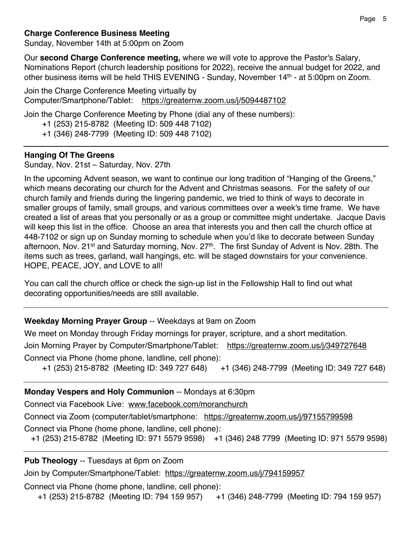#### **Charge Conference Business Meeting**

Sunday, November 14th at 5:00pm on Zoom

Our **second Charge Conference meeting,** where we will vote to approve the Pastor's Salary, Nominations Report (church leadership positions for 2022), receive the annual budget for 2022, and other business items will be held THIS EVENING - Sunday, November 14<sup>th</sup> - at 5:00pm on Zoom.

Join the Charge Conference Meeting virtually by Computer/Smartphone/Tablet: https://greaternw.zoom.us/j/5094487102

Join the Charge Conference Meeting by Phone (dial any of these numbers):

- +1 (253) 215-8782 (Meeting ID: 509 448 7102)
- +1 (346) 248-7799 (Meeting ID: 509 448 7102)

#### **Hanging Of The Greens**

Sunday, Nov. 21st – Saturday, Nov. 27th

In the upcoming Advent season, we want to continue our long tradition of "Hanging of the Greens," which means decorating our church for the Advent and Christmas seasons. For the safety of our church family and friends during the lingering pandemic, we tried to think of ways to decorate in smaller groups of family, small groups, and various committees over a week's time frame. We have created a list of areas that you personally or as a group or committee might undertake. Jacque Davis will keep this list in the office. Choose an area that interests you and then call the church office at 448-7102 or sign up on Sunday morning to schedule when you'd like to decorate between Sunday afternoon, Nov. 21<sup>st</sup> and Saturday morning, Nov. 27<sup>th</sup>. The first Sunday of Advent is Nov. 28th. The items such as trees, garland, wall hangings, etc. will be staged downstairs for your convenience. HOPE, PEACE, JOY, and LOVE to all!

You can call the church office or check the sign-up list in the Fellowship Hall to find out what decorating opportunities/needs are still available.

# **Weekday Morning Prayer Group** -- Weekdays at 9am on Zoom

We meet on Monday through Friday mornings for prayer, scripture, and a short meditation. Join Morning Prayer by Computer/Smartphone/Tablet: https://greaternw.zoom.us/j/349727648 Connect via Phone (home phone, landline, cell phone):

+1 (253) 215-8782 (Meeting ID: 349 727 648) +1 (346) 248-7799 (Meeting ID: 349 727 648)

#### **Monday Vespers and Holy Communion** -- Mondays at 6:30pm

Connect via Facebook Live: www.facebook.com/moranchurch

Connect via Zoom (computer/tablet/smartphone: https://greaternw.zoom.us/j/97155799598

Connect via Phone (home phone, landline, cell phone):

+1 (253) 215-8782 (Meeting ID: 971 5579 9598) +1 (346) 248 7799 (Meeting ID: 971 5579 9598)

**Pub Theology** -- Tuesdays at 6pm on Zoom

Join by Computer/Smartphone/Tablet: https://greaternw.zoom.us/j/794159957

Connect via Phone (home phone, landline, cell phone): +1 (253) 215-8782 (Meeting ID: 794 159 957) +1 (346) 248-7799 (Meeting ID: 794 159 957)